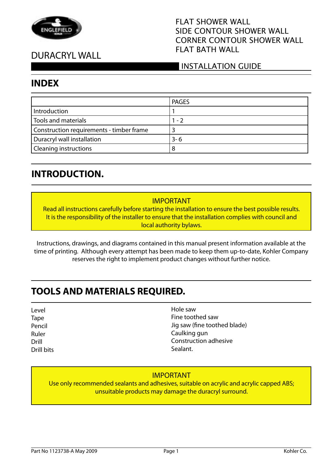

# DURACRYL WALL

### FLAT SHOWER WALL SIDE CONTOUR SHOWER WALL CORNER CONTOUR SHOWER WALL FLAT BATH WALL

### INSTALLATION GUIDE

### **INDEX**

|                                          | <b>PAGES</b> |
|------------------------------------------|--------------|
| Introduction                             |              |
| <b>Tools and materials</b>               | 1 - 2        |
| Construction requirements - timber frame |              |
| Duracryl wall installation               | $3 - 6$      |
| <b>Cleaning instructions</b>             | 8            |

### **INTRODUCTION.**

#### IMPORTANT

Read all instructions carefully before starting the installation to ensure the best possible results. It is the responsibility of the installer to ensure that the installation complies with council and local authority bylaws.

Instructions, drawings, and diagrams contained in this manual present information available at the time of printing. Although every attempt has been made to keep them up-to-date, Kohler Company reserves the right to implement product changes without further notice.

### **TOOLS AND MATERIALS REQUIRED.**

Level **Tape** Pencil Ruler Drill Drill bits Hole saw Fine toothed saw Jig saw (fine toothed blade) Caulking gun Construction adhesive Sealant.

### IMPORTANT

Use only recommended sealants and adhesives, suitable on acrylic and acrylic capped ABS; unsuitable products may damage the duracryl surround.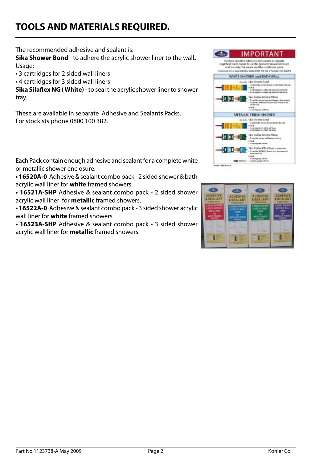# **TOOLS AND MATERIALS REQUIRED.**

The recommended adhesive and sealant is:

**Sika Shower Bond** -to adhere the acrylic shower liner to the wall**.** Usage:

• 3 cartridges for 2 sided wall liners

• 4 cartridges for 3 sided wall liners

**Sika Silaflex NG ( White)** - to seal the acrylic shower liner to shower tray.

These are available in separate Adhesive and Sealants Packs. For stockists phone 0800 100 382.

Each Pack contain enough adhesive and sealant for a complete white or metallic shower enclosure:

**• 16520A-0** Adhesive & sealant combo pack - 2 sided shower & bath acrylic wall liner for **white** framed showers.

**• 16521A-SHP** Adhesive & sealant combo pack - 2 sided shower acrylic wall liner for **metallic** framed showers.

**• 16522A-0** Adhesive & sealant combo pack - 3 sided shower acrylic wall liner for **white** framed showers.

**• 16523A-SHP** Adhesive & sealant combo pack - 3 sided shower acrylic wall liner for **metallic** framed showers.



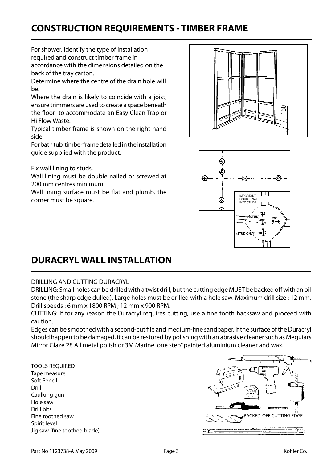## **CONSTRUCTION REQUIREMENTS - TIMBER FRAME**

For shower, identify the type of installation required and construct timber frame in accordance with the dimensions detailed on the back of the tray carton.

Determine where the centre of the drain hole will  $he$ 

Where the drain is likely to coincide with a joist, ensure trimmers are used to create a space beneath the floor to accommodate an Easy Clean Trap or Hi Flow Waste.

Typical timber frame is shown on the right hand side.

For bath tub, timber frame detailed in the installation guide supplied with the product.

Fix wall lining to studs.

Wall lining must be double nailed or screwed at 200 mm centres minimum.

Wall lining surface must be flat and plumb, the corner must be square.





## **DURACRYL WALL INSTALLATION**

#### DRILLING AND CUTTING DURACRYL

DRILLING: Small holes can be drilled with a twist drill, but the cutting edge MUST be backed off with an oil stone (the sharp edge dulled). Large holes must be drilled with a hole saw. Maximum drill size : 12 mm. Drill speeds : 6 mm x 1800 RPM ; 12 mm x 900 RPM.

CUTTING: If for any reason the Duracryl requires cutting, use a fine tooth hacksaw and proceed with caution.

Edges can be smoothed with a second-cut file and medium-fine sandpaper. If the surface of the Duracryl should happen to be damaged, it can be restored by polishing with an abrasive cleaner such as Meguiars Mirror Glaze 28 All metal polish or 3M Marine "one step" painted aluminium cleaner and wax.

TOOLS REQUIRED Tape measure Soft Pencil Drill Caulking gun Hole saw Drill bits Fine toothed saw Spirit level Jig saw (fine toothed blade)

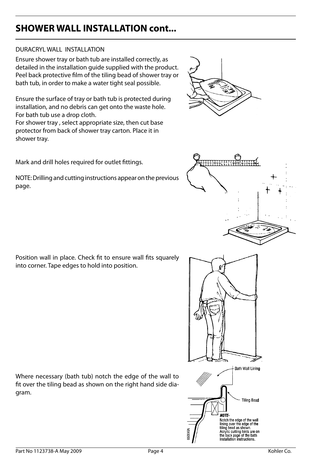#### DURACRYL WALL INSTALLATION

Ensure shower tray or bath tub are installed correctly, as detailed in the installation guide supplied with the product. Peel back protective film of the tiling bead of shower tray or bath tub, in order to make a water tight seal possible.

Ensure the surface of tray or bath tub is protected during installation, and no debris can get onto the waste hole. For bath tub use a drop cloth.

For shower tray , select appropriate size, then cut base protector from back of shower tray carton. Place it in shower tray.

Mark and drill holes required for outlet fittings.

NOTE: Drilling and cutting instructions appear on the previous page.

Position wall in place. Check fit to ensure wall fits squarely into corner. Tape edges to hold into position.

Where necessary (bath tub) notch the edge of the wall to fit over the tiling bead as shown on the right hand side diagram.



**Tiling Bead** 



**NOTE-**

Notch the edge of the wall lining over the edge of the<br>tiling bead as shown. Acrylic cutting hints are on the back page of the bath<br>installation instructions.



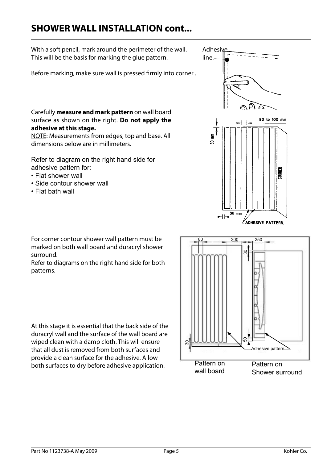With a soft pencil, mark around the perimeter of the wall. This will be the basis for marking the glue pattern.

Before marking, make sure wall is pressed firmly into corner .

Carefully **measure and mark pattern** on wall board surface as shown on the right. **Do not apply the adhesive at this stage.**

NOTE: Measurements from edges, top and base. All dimensions below are in millimeters.

Refer to diagram on the right hand side for adhesive pattern for:

- Flat shower wall
- Side contour shower wall
- Flat bath wall



For corner contour shower wall pattern must be marked on both wall board and duracryl shower surround.

Refer to diagrams on the right hand side for both patterns.

At this stage it is essential that the back side of the duracryl wall and the surface of the wall board are wiped clean with a damp cloth. This will ensure that all dust is removed from both surfaces and provide a clean surface for the adhesive. Allow both surfaces to dry before adhesive application.

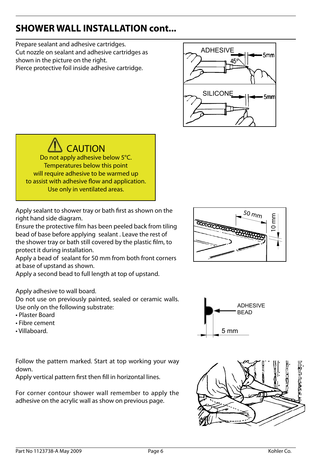Prepare sealant and adhesive cartridges.<br>Cut nozzle on sealant and adhesive cartridges as **ADHESIVE** shown in the picture on the right. Pierce protective foil inside adhesive cartridge.



CAUTION Do not apply adhesive below 5°C. Temperatures below this point will require adhesive to be warmed up to assist with adhesive flow and application. Use only in ventilated areas.

Apply sealant to shower tray or bath first as shown on the right hand side diagram.

Ensure the protective film has been peeled back from tiling bead of base before applying sealant . Leave the rest of the shower tray or bath still covered by the plastic film, to protect it during installation.

Apply a bead of sealant for 50 mm from both front corners at base of upstand as shown.

Apply a second bead to full length at top of upstand.

#### Apply adhesive to wall board.

Do not use on previously painted, sealed or ceramic walls. Use only on the following substrate:

- Plaster Board
- Fibre cement
- 

Follow the pattern marked. Start at top working your way down.

Apply vertical pattern first then fill in horizontal lines.

For corner contour shower wall remember to apply the adhesive on the acrylic wall as show on previous page.





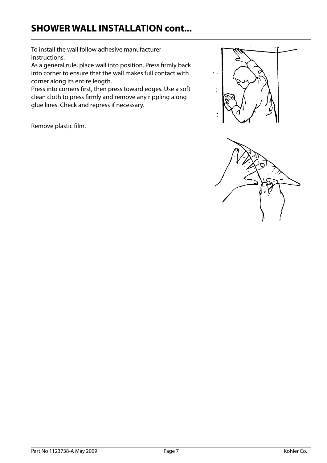To install the wall follow adhesive manufacturer instructions.

As a general rule, place wall into position. Press firmly back into corner to ensure that the wall makes full contact with corner along its entire length.

Press into corners first, then press toward edges. Use a soft clean cloth to press firmly and remove any rippling along glue lines. Check and repress if necessary.

Remove plastic film.